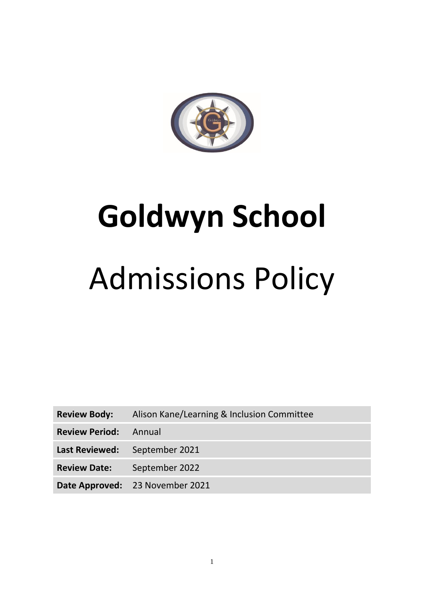

# **Goldwyn School**

# Admissions Policy

**Review Body:** Alison Kane/Learning & Inclusion Committee

**Review Period:** Annual

**Last Reviewed:** September 2021

**Review Date:** September 2022

**Date Approved:** 23 November 2021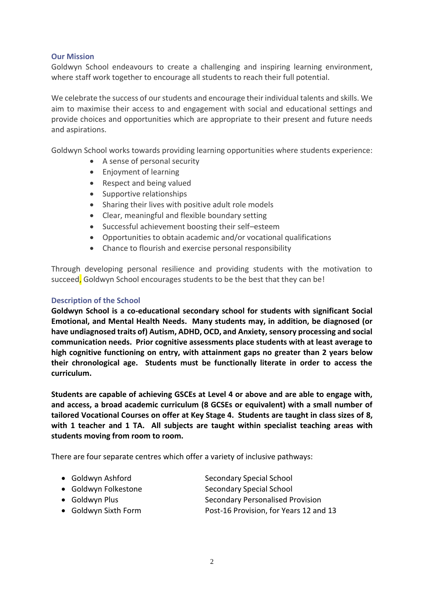# **Our Mission**

Goldwyn School endeavours to create a challenging and inspiring learning environment, where staff work together to encourage all students to reach their full potential.

We celebrate the success of our students and encourage their individual talents and skills. We aim to maximise their access to and engagement with social and educational settings and provide choices and opportunities which are appropriate to their present and future needs and aspirations.

Goldwyn School works towards providing learning opportunities where students experience:

- A sense of personal security
- Enjoyment of learning
- Respect and being valued
- Supportive relationships
- Sharing their lives with positive adult role models
- Clear, meaningful and flexible boundary setting
- Successful achievement boosting their self–esteem
- Opportunities to obtain academic and/or vocational qualifications
- Chance to flourish and exercise personal responsibility

Through developing personal resilience and providing students with the motivation to succeed, Goldwyn School encourages students to be the best that they can be!

#### **Description of the School**

**Goldwyn School is a co-educational secondary school for students with significant Social Emotional, and Mental Health Needs. Many students may, in addition, be diagnosed (or have undiagnosed traits of) Autism, ADHD, OCD, and Anxiety, sensory processing and social communication needs. Prior cognitive assessments place students with at least average to high cognitive functioning on entry, with attainment gaps no greater than 2 years below their chronological age. Students must be functionally literate in order to access the curriculum.**

**Students are capable of achieving GSCEs at Level 4 or above and are able to engage with, and access, a broad academic curriculum (8 GCSEs or equivalent) with a small number of tailored Vocational Courses on offer at Key Stage 4. Students are taught in class sizes of 8, with 1 teacher and 1 TA. All subjects are taught within specialist teaching areas with students moving from room to room.**

There are four separate centres which offer a variety of inclusive pathways:

- Goldwyn Ashford Secondary Special School
- 
- 
- 

• Goldwyn Folkestone Secondary Special School • Goldwyn Plus **Secondary Personalised Provision** • Goldwyn Sixth Form Post-16 Provision, for Years 12 and 13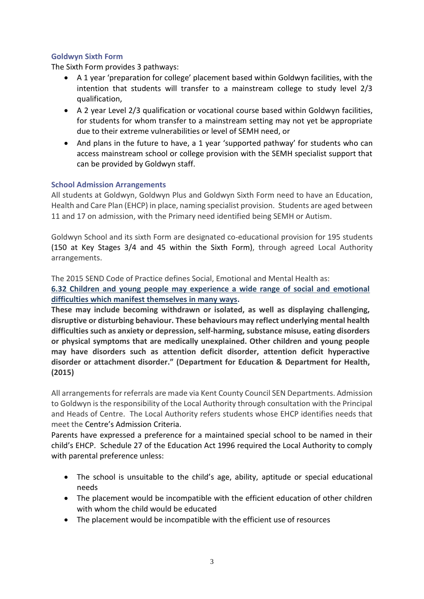# **Goldwyn Sixth Form**

The Sixth Form provides 3 pathways:

- A 1 year 'preparation for college' placement based within Goldwyn facilities, with the intention that students will transfer to a mainstream college to study level 2/3 qualification,
- A 2 year Level 2/3 qualification or vocational course based within Goldwyn facilities, for students for whom transfer to a mainstream setting may not yet be appropriate due to their extreme vulnerabilities or level of SEMH need, or
- And plans in the future to have, a 1 year 'supported pathway' for students who can access mainstream school or college provision with the SEMH specialist support that can be provided by Goldwyn staff.

# **School Admission Arrangements**

All students at Goldwyn, Goldwyn Plus and Goldwyn Sixth Form need to have an Education, Health and Care Plan (EHCP) in place, naming specialist provision. Students are aged between 11 and 17 on admission, with the Primary need identified being SEMH or Autism.

Goldwyn School and its sixth Form are designated co-educational provision for 195 students (150 at Key Stages 3/4 and 45 within the Sixth Form), through agreed Local Authority arrangements.

The 2015 SEND Code of Practice defines Social, Emotional and Mental Health as:

**[6.32 Children and young people may experience a wide range of social and emotional](https://www.gov.uk/government/uploads/system/uploads/attachment_data/file/398815/SEND_Code_of_Practice_January_2015.pdf)  [difficulties which manifest themselves in many ways.](https://www.gov.uk/government/uploads/system/uploads/attachment_data/file/398815/SEND_Code_of_Practice_January_2015.pdf)**

**These may include becoming withdrawn or isolated, as well as displaying challenging, disruptive or disturbing behaviour. These behaviours may reflect underlying mental health difficulties such as anxiety or depression, self-harming, substance misuse, eating disorders or physical symptoms that are medically unexplained. Other children and young people may have disorders such as attention deficit disorder, attention deficit hyperactive disorder or attachment disorder." (Department for Education & Department for Health, (2015)**

All arrangements for referrals are made via Kent County Council SEN Departments. Admission to Goldwyn is the responsibility of the Local Authority through consultation with the Principal and Heads of Centre. The Local Authority refers students whose EHCP identifies needs that meet the Centre's Admission Criteria.

Parents have expressed a preference for a maintained special school to be named in their child's EHCP. Schedule 27 of the Education Act 1996 required the Local Authority to comply with parental preference unless:

- The school is unsuitable to the child's age, ability, aptitude or special educational needs
- The placement would be incompatible with the efficient education of other children with whom the child would be educated
- The placement would be incompatible with the efficient use of resources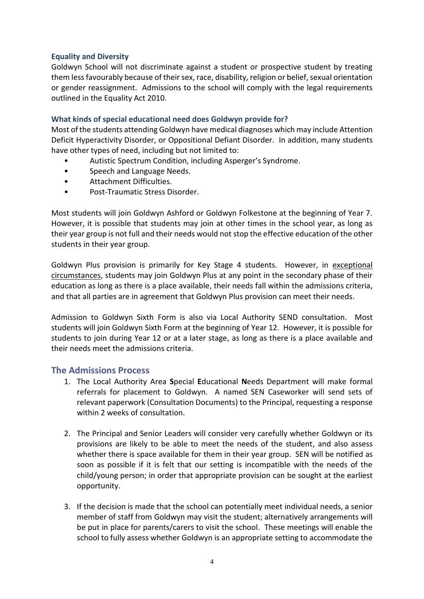# **Equality and Diversity**

Goldwyn School will not discriminate against a student or prospective student by treating them less favourably because of their sex, race, disability, religion or belief, sexual orientation or gender reassignment. Admissions to the school will comply with the legal requirements outlined in the Equality Act 2010.

# **What kinds of special educational need does Goldwyn provide for?**

Most of the students attending Goldwyn have medical diagnoses which may include Attention Deficit Hyperactivity Disorder, or Oppositional Defiant Disorder. In addition, many students have other types of need, including but not limited to:

- Autistic Spectrum Condition, including Asperger's Syndrome.
- Speech and Language Needs.
- Attachment Difficulties.
- Post-Traumatic Stress Disorder.

Most students will join Goldwyn Ashford or Goldwyn Folkestone at the beginning of Year 7. However, it is possible that students may join at other times in the school year, as long as their year group is not full and their needs would not stop the effective education of the other students in their year group.

Goldwyn Plus provision is primarily for Key Stage 4 students. However, in exceptional circumstances, students may join Goldwyn Plus at any point in the secondary phase of their education as long as there is a place available, their needs fall within the admissions criteria, and that all parties are in agreement that Goldwyn Plus provision can meet their needs.

Admission to Goldwyn Sixth Form is also via Local Authority SEND consultation. Most students will join Goldwyn Sixth Form at the beginning of Year 12. However, it is possible for students to join during Year 12 or at a later stage, as long as there is a place available and their needs meet the admissions criteria.

# **The Admissions Process**

- 1. The Local Authority Area **S**pecial **E**ducational **N**eeds Department will make formal referrals for placement to Goldwyn. A named SEN Caseworker will send sets of relevant paperwork (Consultation Documents) to the Principal, requesting a response within 2 weeks of consultation.
- 2. The Principal and Senior Leaders will consider very carefully whether Goldwyn or its provisions are likely to be able to meet the needs of the student, and also assess whether there is space available for them in their year group. SEN will be notified as soon as possible if it is felt that our setting is incompatible with the needs of the child/young person; in order that appropriate provision can be sought at the earliest opportunity.
- 3. If the decision is made that the school can potentially meet individual needs, a senior member of staff from Goldwyn may visit the student; alternatively arrangements will be put in place for parents/carers to visit the school. These meetings will enable the school to fully assess whether Goldwyn is an appropriate setting to accommodate the